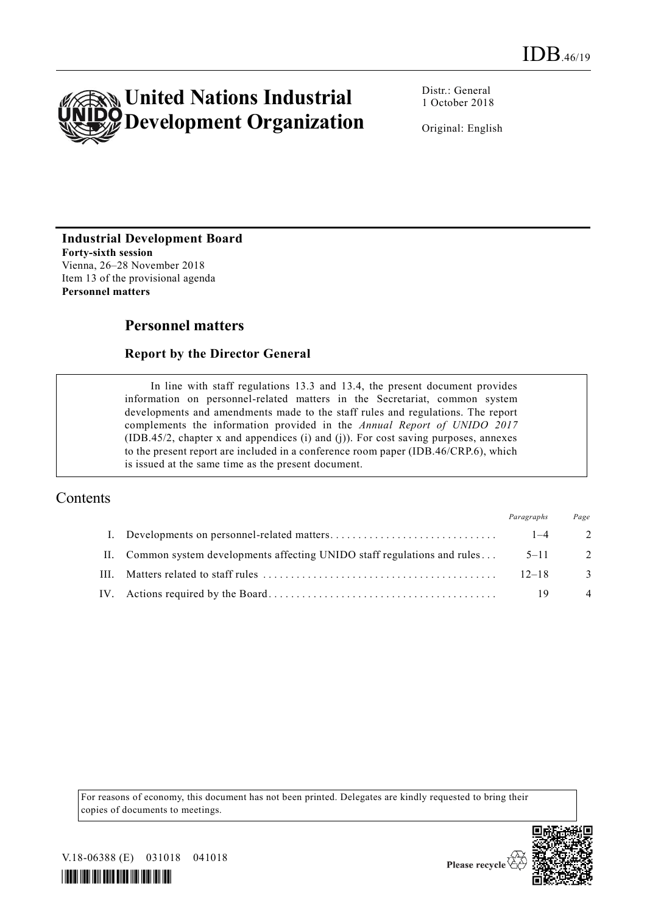

Distr.: General 1 October 2018

Original: English

## **Industrial Development Board**

**Forty-sixth session** Vienna, 26–28 November 2018 Item 13 of the provisional agenda **Personnel matters** 

# **Personnel matters**

### **Report by the Director General**

In line with staff regulations 13.3 and 13.4, the present document provides information on personnel-related matters in the Secretariat, common system developments and amendments made to the staff rules and regulations. The report complements the information provided in the *Annual Report of UNIDO 2017* (IDB.45/2, chapter x and appendices (i) and (j)). For cost saving purposes, annexes to the present report are included in a conference room paper (IDB.46/CRP.6), which is issued at the same time as the present document.

# Contents

|                                                                            | Paragraphs | Page           |
|----------------------------------------------------------------------------|------------|----------------|
|                                                                            | $1 - 4$    | $\overline{2}$ |
| II. Common system developments affecting UNIDO staff regulations and rules | $5 - 11$   | -2             |
|                                                                            | $12 - 18$  | -3             |
|                                                                            | 19         | $\overline{4}$ |

For reasons of economy, this document has not been printed. Delegates are kindly requested to bring their copies of documents to meetings.



V.18-06388 (E) 031018 041018

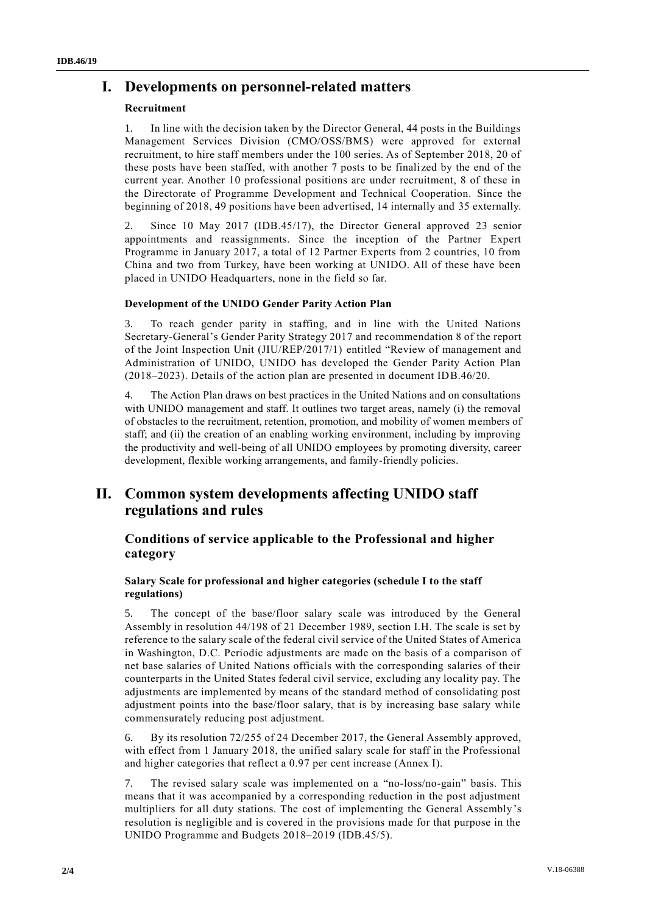# **I. Developments on personnel-related matters**

### **Recruitment**

1. In line with the decision taken by the Director General, 44 posts in the Buildings Management Services Division (CMO/OSS/BMS) were approved for external recruitment, to hire staff members under the 100 series. As of September 2018, 20 of these posts have been staffed, with another 7 posts to be finalized by the end of the current year. Another 10 professional positions are under recruitment, 8 of these in the Directorate of Programme Development and Technical Cooperation. Since the beginning of 2018, 49 positions have been advertised, 14 internally and 35 externally.

2. Since 10 May 2017 (IDB.45/17), the Director General approved 23 senior appointments and reassignments. Since the inception of the Partner Expert Programme in January 2017, a total of 12 Partner Experts from 2 countries, 10 from China and two from Turkey, have been working at UNIDO. All of these have been placed in UNIDO Headquarters, none in the field so far.

### **Development of the UNIDO Gender Parity Action Plan**

3. To reach gender parity in staffing, and in line with the United Nations Secretary-General's Gender Parity Strategy 2017 and recommendation 8 of the report of the Joint Inspection Unit (JIU/REP/2017/1) entitled "Review of management and Administration of UNIDO, UNIDO has developed the Gender Parity Action Plan (2018–2023). Details of the action plan are presented in document IDB.46/20.

4. The Action Plan draws on best practices in the United Nations and on consultations with UNIDO management and staff. It outlines two target areas, namely (i) the removal of obstacles to the recruitment, retention, promotion, and mobility of women members of staff; and (ii) the creation of an enabling working environment, including by improving the productivity and well-being of all UNIDO employees by promoting diversity, career development, flexible working arrangements, and family-friendly policies.

# **II. Common system developments affecting UNIDO staff regulations and rules**

### **Conditions of service applicable to the Professional and higher category**

### **Salary Scale for professional and higher categories (schedule I to the staff regulations)**

5. The concept of the base/floor salary scale was introduced by the General Assembly in resolution 44/198 of 21 December 1989, section I.H. The scale is set by reference to the salary scale of the federal civil service of the United States of America in Washington, D.C. Periodic adjustments are made on the basis of a comparison of net base salaries of United Nations officials with the corresponding salaries of their counterparts in the United States federal civil service, excluding any locality pay. The adjustments are implemented by means of the standard method of consolidating post adjustment points into the base/floor salary, that is by increasing base salary while commensurately reducing post adjustment.

6. By its resolution 72/255 of 24 December 2017, the General Assembly approved, with effect from 1 January 2018, the unified salary scale for staff in the Professional and higher categories that reflect a 0.97 per cent increase (Annex I).

7. The revised salary scale was implemented on a "no-loss/no-gain" basis. This means that it was accompanied by a corresponding reduction in the post adjustment multipliers for all duty stations. The cost of implementing the General Assembly's resolution is negligible and is covered in the provisions made for that purpose in the UNIDO Programme and Budgets 2018–2019 (IDB.45/5).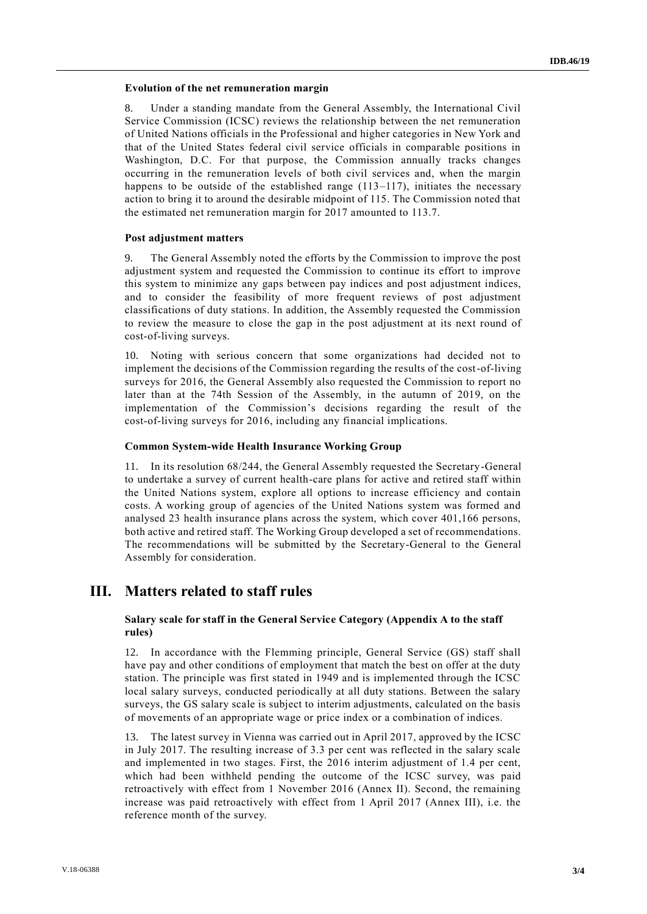#### **Evolution of the net remuneration margin**

8. Under a standing mandate from the General Assembly, the International Civil Service Commission (ICSC) reviews the relationship between the net remuneration of United Nations officials in the Professional and higher categories in New York and that of the United States federal civil service officials in comparable positions in Washington, D.C. For that purpose, the Commission annually tracks changes occurring in the remuneration levels of both civil services and, when the margin happens to be outside of the established range  $(113-117)$ , initiates the necessary action to bring it to around the desirable midpoint of 115. The Commission noted that the estimated net remuneration margin for 2017 amounted to 113.7.

#### **Post adjustment matters**

9. The General Assembly noted the efforts by the Commission to improve the post adjustment system and requested the Commission to continue its effort to improve this system to minimize any gaps between pay indices and post adjustment indices, and to consider the feasibility of more frequent reviews of post adjustment classifications of duty stations. In addition, the Assembly requested the Commission to review the measure to close the gap in the post adjustment at its next round of cost-of-living surveys.

10. Noting with serious concern that some organizations had decided not to implement the decisions of the Commission regarding the results of the cost-of-living surveys for 2016, the General Assembly also requested the Commission to report no later than at the 74th Session of the Assembly, in the autumn of 2019, on the implementation of the Commission's decisions regarding the result of the cost-of-living surveys for 2016, including any financial implications.

#### **Common System-wide Health Insurance Working Group**

11. In its resolution 68/244, the General Assembly requested the Secretary-General to undertake a survey of current health-care plans for active and retired staff within the United Nations system, explore all options to increase efficiency and contain costs. A working group of agencies of the United Nations system was formed and analysed 23 health insurance plans across the system, which cover 401,166 persons, both active and retired staff. The Working Group developed a set of recommendations. The recommendations will be submitted by the Secretary-General to the General Assembly for consideration.

## **III. Matters related to staff rules**

#### **Salary scale for staff in the General Service Category (Appendix A to the staff rules)**

12. In accordance with the Flemming principle, General Service (GS) staff shall have pay and other conditions of employment that match the best on offer at the duty station. The principle was first stated in 1949 and is implemented through the ICSC local salary surveys, conducted periodically at all duty stations. Between the salary surveys, the GS salary scale is subject to interim adjustments, calculated on the basis of movements of an appropriate wage or price index or a combination of indices.

13. The latest survey in Vienna was carried out in April 2017, approved by the ICSC in July 2017. The resulting increase of 3.3 per cent was reflected in the salary scale and implemented in two stages. First, the 2016 interim adjustment of 1.4 per cent, which had been withheld pending the outcome of the ICSC survey, was paid retroactively with effect from 1 November 2016 (Annex II). Second, the remaining increase was paid retroactively with effect from 1 April 2017 (Annex III), i.e. the reference month of the survey.